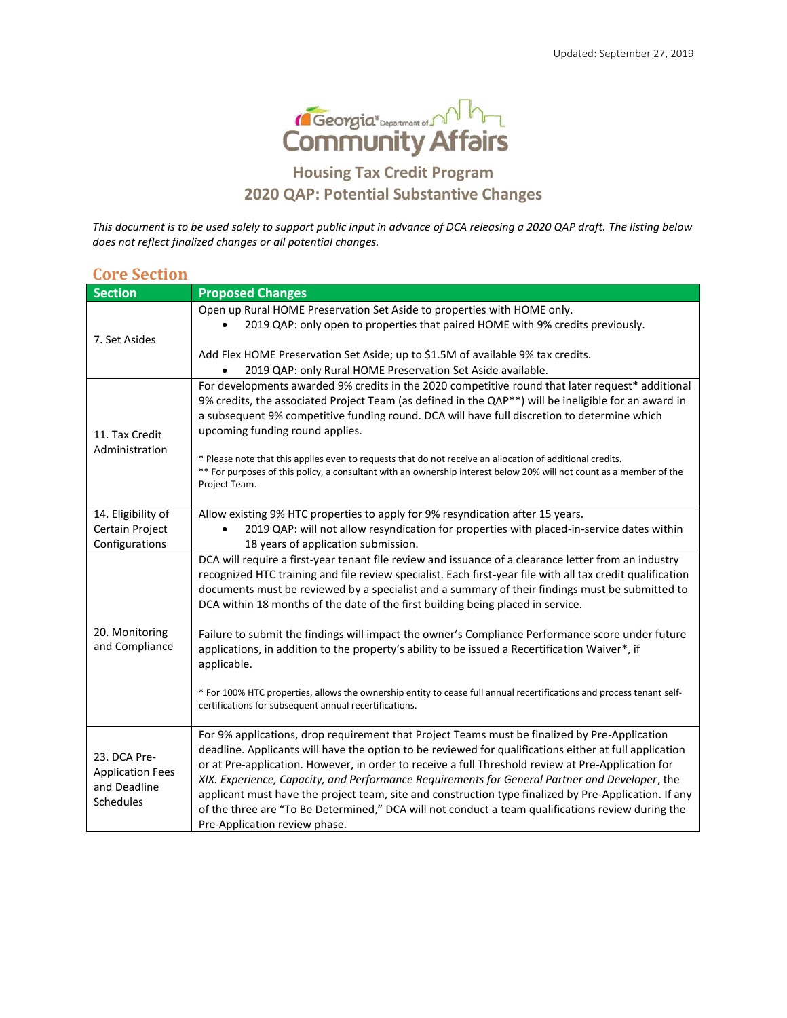

## **Housing Tax Credit Program 2020 QAP: Potential Substantive Changes**

*This document is to be used solely to support public input in advance of DCA releasing a 2020 QAP draft. The listing below does not reflect finalized changes or all potential changes.* 

| <b>Core Section</b>                                                  |                                                                                                                                                                                                                                                                                                                                                                                                                                                                                                                                                                                                                                                                |  |  |  |
|----------------------------------------------------------------------|----------------------------------------------------------------------------------------------------------------------------------------------------------------------------------------------------------------------------------------------------------------------------------------------------------------------------------------------------------------------------------------------------------------------------------------------------------------------------------------------------------------------------------------------------------------------------------------------------------------------------------------------------------------|--|--|--|
| <b>Section</b>                                                       | <b>Proposed Changes</b>                                                                                                                                                                                                                                                                                                                                                                                                                                                                                                                                                                                                                                        |  |  |  |
| 7. Set Asides                                                        | Open up Rural HOME Preservation Set Aside to properties with HOME only.<br>2019 QAP: only open to properties that paired HOME with 9% credits previously.                                                                                                                                                                                                                                                                                                                                                                                                                                                                                                      |  |  |  |
|                                                                      | Add Flex HOME Preservation Set Aside; up to \$1.5M of available 9% tax credits.                                                                                                                                                                                                                                                                                                                                                                                                                                                                                                                                                                                |  |  |  |
| 11. Tax Credit<br>Administration                                     | 2019 QAP: only Rural HOME Preservation Set Aside available.<br>For developments awarded 9% credits in the 2020 competitive round that later request* additional<br>9% credits, the associated Project Team (as defined in the QAP**) will be ineligible for an award in<br>a subsequent 9% competitive funding round. DCA will have full discretion to determine which<br>upcoming funding round applies.<br>* Please note that this applies even to requests that do not receive an allocation of additional credits.<br>** For purposes of this policy, a consultant with an ownership interest below 20% will not count as a member of the<br>Project Team. |  |  |  |
| 14. Eligibility of<br>Certain Project<br>Configurations              | Allow existing 9% HTC properties to apply for 9% resyndication after 15 years.<br>2019 QAP: will not allow resyndication for properties with placed-in-service dates within<br>18 years of application submission.                                                                                                                                                                                                                                                                                                                                                                                                                                             |  |  |  |
| 20. Monitoring<br>and Compliance                                     | DCA will require a first-year tenant file review and issuance of a clearance letter from an industry<br>recognized HTC training and file review specialist. Each first-year file with all tax credit qualification<br>documents must be reviewed by a specialist and a summary of their findings must be submitted to<br>DCA within 18 months of the date of the first building being placed in service.                                                                                                                                                                                                                                                       |  |  |  |
|                                                                      | Failure to submit the findings will impact the owner's Compliance Performance score under future<br>applications, in addition to the property's ability to be issued a Recertification Waiver*, if<br>applicable.                                                                                                                                                                                                                                                                                                                                                                                                                                              |  |  |  |
|                                                                      | * For 100% HTC properties, allows the ownership entity to cease full annual recertifications and process tenant self-<br>certifications for subsequent annual recertifications.                                                                                                                                                                                                                                                                                                                                                                                                                                                                                |  |  |  |
| 23. DCA Pre-<br><b>Application Fees</b><br>and Deadline<br>Schedules | For 9% applications, drop requirement that Project Teams must be finalized by Pre-Application<br>deadline. Applicants will have the option to be reviewed for qualifications either at full application<br>or at Pre-application. However, in order to receive a full Threshold review at Pre-Application for<br>XIX. Experience, Capacity, and Performance Requirements for General Partner and Developer, the<br>applicant must have the project team, site and construction type finalized by Pre-Application. If any<br>of the three are "To Be Determined," DCA will not conduct a team qualifications review during the<br>Pre-Application review phase. |  |  |  |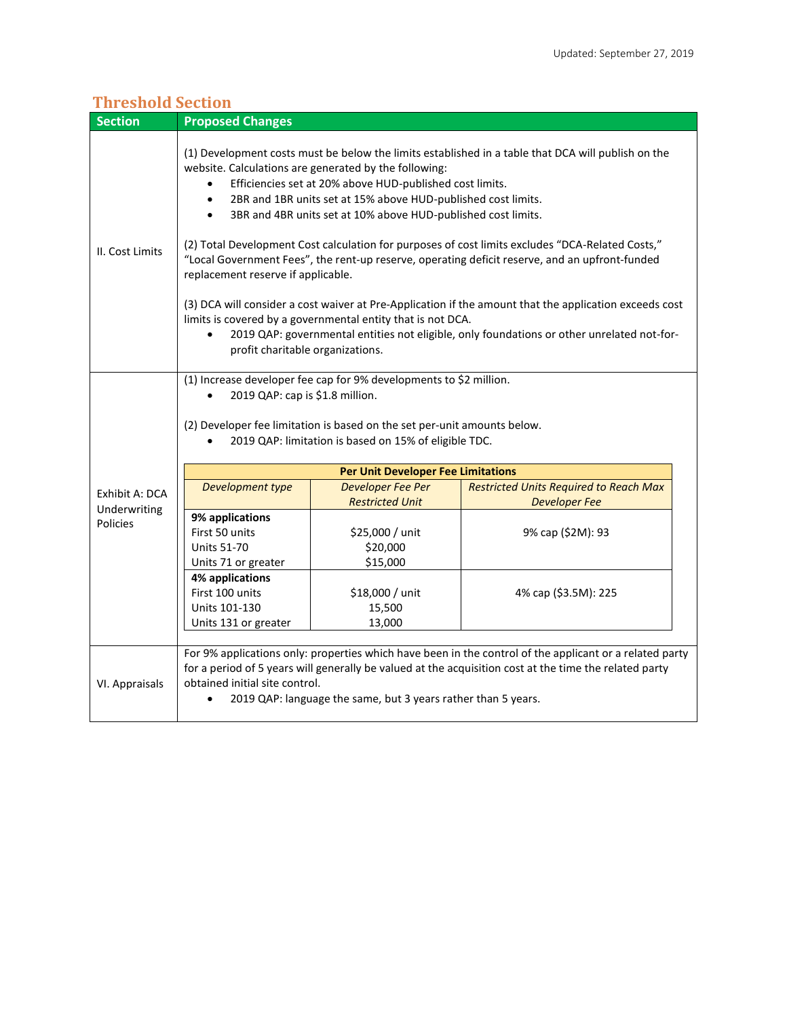| <b>Section</b>           | <b>Proposed Changes</b>                                                                                                                                                                                                                                                                                                                                                                                                                                                                                                                                                                                                                                                                                                                                                                                                                                                                                                                                 |                                                               |                                                                                                                                                                                                                   |  |  |
|--------------------------|---------------------------------------------------------------------------------------------------------------------------------------------------------------------------------------------------------------------------------------------------------------------------------------------------------------------------------------------------------------------------------------------------------------------------------------------------------------------------------------------------------------------------------------------------------------------------------------------------------------------------------------------------------------------------------------------------------------------------------------------------------------------------------------------------------------------------------------------------------------------------------------------------------------------------------------------------------|---------------------------------------------------------------|-------------------------------------------------------------------------------------------------------------------------------------------------------------------------------------------------------------------|--|--|
| II. Cost Limits          | (1) Development costs must be below the limits established in a table that DCA will publish on the<br>website. Calculations are generated by the following:<br>Efficiencies set at 20% above HUD-published cost limits.<br>$\bullet$<br>2BR and 1BR units set at 15% above HUD-published cost limits.<br>$\bullet$<br>3BR and 4BR units set at 10% above HUD-published cost limits.<br>$\bullet$<br>(2) Total Development Cost calculation for purposes of cost limits excludes "DCA-Related Costs,"<br>"Local Government Fees", the rent-up reserve, operating deficit reserve, and an upfront-funded<br>replacement reserve if applicable.<br>(3) DCA will consider a cost waiver at Pre-Application if the amount that the application exceeds cost<br>limits is covered by a governmental entity that is not DCA.<br>2019 QAP: governmental entities not eligible, only foundations or other unrelated not-for-<br>profit charitable organizations. |                                                               |                                                                                                                                                                                                                   |  |  |
|                          | (1) Increase developer fee cap for 9% developments to \$2 million.<br>2019 QAP: cap is \$1.8 million.<br>(2) Developer fee limitation is based on the set per-unit amounts below.<br>2019 QAP: limitation is based on 15% of eligible TDC.<br><b>Per Unit Developer Fee Limitations</b>                                                                                                                                                                                                                                                                                                                                                                                                                                                                                                                                                                                                                                                                 |                                                               |                                                                                                                                                                                                                   |  |  |
|                          | Development type                                                                                                                                                                                                                                                                                                                                                                                                                                                                                                                                                                                                                                                                                                                                                                                                                                                                                                                                        | Developer Fee Per                                             | <b>Restricted Units Required to Reach Max</b>                                                                                                                                                                     |  |  |
| Exhibit A: DCA           |                                                                                                                                                                                                                                                                                                                                                                                                                                                                                                                                                                                                                                                                                                                                                                                                                                                                                                                                                         | <b>Restricted Unit</b>                                        | <b>Developer Fee</b>                                                                                                                                                                                              |  |  |
| Underwriting<br>Policies | 9% applications<br>First 50 units<br><b>Units 51-70</b><br>Units 71 or greater<br>4% applications                                                                                                                                                                                                                                                                                                                                                                                                                                                                                                                                                                                                                                                                                                                                                                                                                                                       | \$25,000 / unit<br>\$20,000<br>\$15,000                       | 9% cap (\$2M): 93                                                                                                                                                                                                 |  |  |
|                          | First 100 units<br>Units 101-130<br>Units 131 or greater                                                                                                                                                                                                                                                                                                                                                                                                                                                                                                                                                                                                                                                                                                                                                                                                                                                                                                | \$18,000 / unit<br>15,500<br>13,000                           | 4% cap (\$3.5M): 225                                                                                                                                                                                              |  |  |
| VI. Appraisals           | obtained initial site control.                                                                                                                                                                                                                                                                                                                                                                                                                                                                                                                                                                                                                                                                                                                                                                                                                                                                                                                          | 2019 QAP: language the same, but 3 years rather than 5 years. | For 9% applications only: properties which have been in the control of the applicant or a related party<br>for a period of 5 years will generally be valued at the acquisition cost at the time the related party |  |  |

## **Threshold Section**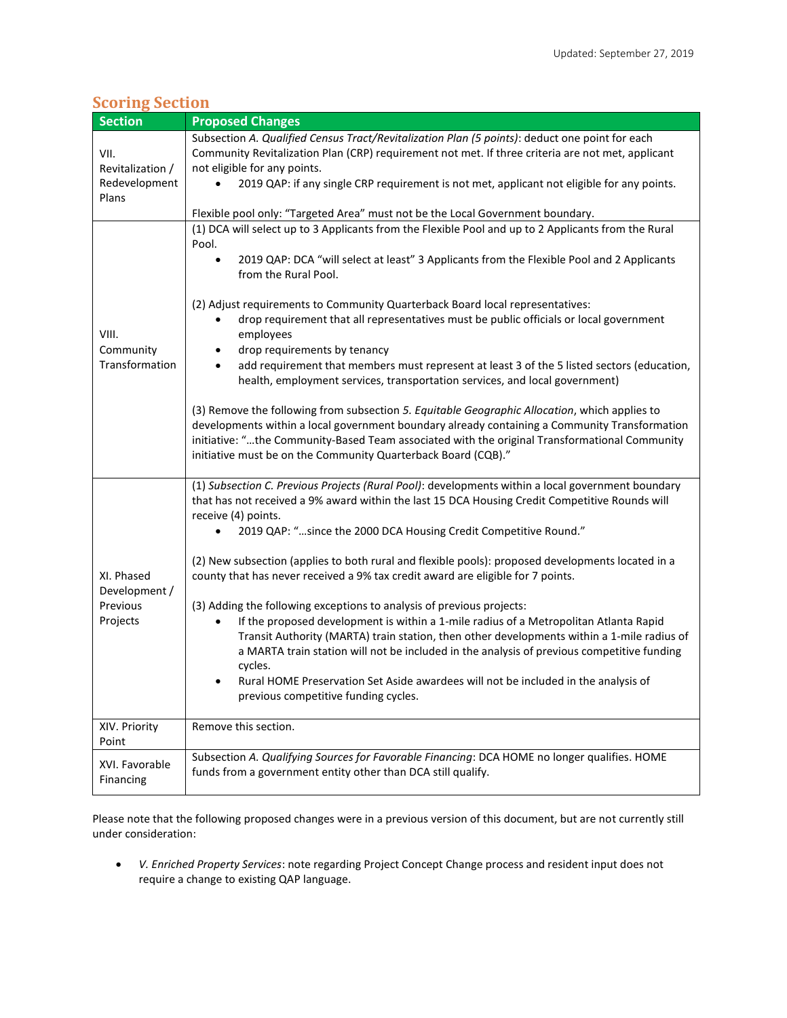| <b>Scoring Section</b> |  |  |
|------------------------|--|--|
|                        |  |  |
|                        |  |  |

| <b>Section</b>                                      | <b>Proposed Changes</b>                                                                                                                                                              |  |  |  |  |
|-----------------------------------------------------|--------------------------------------------------------------------------------------------------------------------------------------------------------------------------------------|--|--|--|--|
|                                                     | Subsection A. Qualified Census Tract/Revitalization Plan (5 points): deduct one point for each                                                                                       |  |  |  |  |
| VII.                                                | Community Revitalization Plan (CRP) requirement not met. If three criteria are not met, applicant                                                                                    |  |  |  |  |
| Revitalization /                                    | not eligible for any points.                                                                                                                                                         |  |  |  |  |
| Redevelopment                                       | 2019 QAP: if any single CRP requirement is not met, applicant not eligible for any points.                                                                                           |  |  |  |  |
| Plans                                               | Flexible pool only: "Targeted Area" must not be the Local Government boundary.                                                                                                       |  |  |  |  |
|                                                     | (1) DCA will select up to 3 Applicants from the Flexible Pool and up to 2 Applicants from the Rural                                                                                  |  |  |  |  |
|                                                     | Pool.                                                                                                                                                                                |  |  |  |  |
|                                                     | 2019 QAP: DCA "will select at least" 3 Applicants from the Flexible Pool and 2 Applicants<br>$\bullet$                                                                               |  |  |  |  |
|                                                     | from the Rural Pool.                                                                                                                                                                 |  |  |  |  |
|                                                     | (2) Adjust requirements to Community Quarterback Board local representatives:                                                                                                        |  |  |  |  |
| VIII.<br>Community<br>Transformation                | drop requirement that all representatives must be public officials or local government<br>٠<br>employees                                                                             |  |  |  |  |
|                                                     | drop requirements by tenancy<br>٠                                                                                                                                                    |  |  |  |  |
|                                                     | add requirement that members must represent at least 3 of the 5 listed sectors (education,<br>$\bullet$                                                                              |  |  |  |  |
|                                                     | health, employment services, transportation services, and local government)                                                                                                          |  |  |  |  |
|                                                     | (3) Remove the following from subsection 5. Equitable Geographic Allocation, which applies to                                                                                        |  |  |  |  |
|                                                     | developments within a local government boundary already containing a Community Transformation                                                                                        |  |  |  |  |
|                                                     | initiative: "the Community-Based Team associated with the original Transformational Community<br>initiative must be on the Community Quarterback Board (CQB)."                       |  |  |  |  |
|                                                     |                                                                                                                                                                                      |  |  |  |  |
|                                                     | (1) Subsection C. Previous Projects (Rural Pool): developments within a local government boundary                                                                                    |  |  |  |  |
|                                                     | that has not received a 9% award within the last 15 DCA Housing Credit Competitive Rounds will<br>receive (4) points.                                                                |  |  |  |  |
|                                                     | 2019 QAP: "since the 2000 DCA Housing Credit Competitive Round."<br>$\bullet$                                                                                                        |  |  |  |  |
| XI. Phased<br>Development /<br>Previous<br>Projects |                                                                                                                                                                                      |  |  |  |  |
|                                                     | (2) New subsection (applies to both rural and flexible pools): proposed developments located in a<br>county that has never received a 9% tax credit award are eligible for 7 points. |  |  |  |  |
|                                                     |                                                                                                                                                                                      |  |  |  |  |
|                                                     | (3) Adding the following exceptions to analysis of previous projects:                                                                                                                |  |  |  |  |
|                                                     | If the proposed development is within a 1-mile radius of a Metropolitan Atlanta Rapid<br>$\bullet$                                                                                   |  |  |  |  |
|                                                     | Transit Authority (MARTA) train station, then other developments within a 1-mile radius of                                                                                           |  |  |  |  |
|                                                     | a MARTA train station will not be included in the analysis of previous competitive funding                                                                                           |  |  |  |  |
|                                                     | cycles.<br>Rural HOME Preservation Set Aside awardees will not be included in the analysis of                                                                                        |  |  |  |  |
|                                                     | previous competitive funding cycles.                                                                                                                                                 |  |  |  |  |
|                                                     |                                                                                                                                                                                      |  |  |  |  |
| XIV. Priority                                       | Remove this section.                                                                                                                                                                 |  |  |  |  |
| Point                                               | Subsection A. Qualifying Sources for Favorable Financing: DCA HOME no longer qualifies. HOME                                                                                         |  |  |  |  |
| XVI. Favorable                                      | funds from a government entity other than DCA still qualify.                                                                                                                         |  |  |  |  |
| Financing                                           |                                                                                                                                                                                      |  |  |  |  |

Please note that the following proposed changes were in a previous version of this document, but are not currently still under consideration:

 *V. Enriched Property Services*: note regarding Project Concept Change process and resident input does not require a change to existing QAP language.